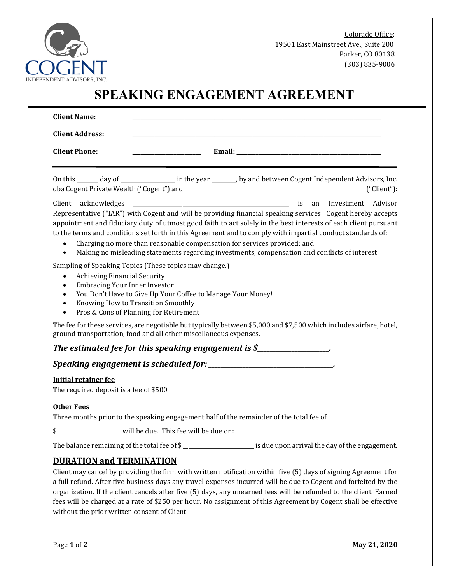

Colorado Office: 19501 East Mainstreet Ave., Suite 200 Parker, CO 80138 (303) 835-9006

# **SPEAKING ENGAGEMENT AGREEMENT**

| <b>Client Name:</b>                                                                                                                          |                                                                                                                                                                                                                                                                                                                                                                                                                                                                                                                                                                                                                                                                                                                                                                   |
|----------------------------------------------------------------------------------------------------------------------------------------------|-------------------------------------------------------------------------------------------------------------------------------------------------------------------------------------------------------------------------------------------------------------------------------------------------------------------------------------------------------------------------------------------------------------------------------------------------------------------------------------------------------------------------------------------------------------------------------------------------------------------------------------------------------------------------------------------------------------------------------------------------------------------|
| <b>Client Address:</b>                                                                                                                       |                                                                                                                                                                                                                                                                                                                                                                                                                                                                                                                                                                                                                                                                                                                                                                   |
| <b>Client Phone:</b>                                                                                                                         |                                                                                                                                                                                                                                                                                                                                                                                                                                                                                                                                                                                                                                                                                                                                                                   |
|                                                                                                                                              | On this ______ day of _______________ in the year _______, by and between Cogent Independent Advisors, Inc.                                                                                                                                                                                                                                                                                                                                                                                                                                                                                                                                                                                                                                                       |
| Client acknowledges<br>$\bullet$<br>$\bullet$                                                                                                | <b>1980</b> - The Company Street and The Company Street and The Company Street and The Company Street and The Company Street and The Company Street and The Company Street and The Company Street and The Company Street and The Co<br>Representative ("IAR") with Cogent and will be providing financial speaking services. Cogent hereby accepts<br>appointment and fiduciary duty of utmost good faith to act solely in the best interests of each client pursuant<br>to the terms and conditions set forth in this Agreement and to comply with impartial conduct standards of:<br>Charging no more than reasonable compensation for services provided; and<br>Making no misleading statements regarding investments, compensation and conflicts of interest. |
| <b>Achieving Financial Security</b><br>$\bullet$<br><b>Embracing Your Inner Investor</b><br>$\bullet$<br>$\bullet$<br>$\bullet$<br>$\bullet$ | Sampling of Speaking Topics (These topics may change.)<br>You Don't Have to Give Up Your Coffee to Manage Your Money!<br>Knowing How to Transition Smoothly<br>Pros & Cons of Planning for Retirement                                                                                                                                                                                                                                                                                                                                                                                                                                                                                                                                                             |
|                                                                                                                                              | The fee for these services, are negotiable but typically between \$5,000 and \$7,500 which includes airfare, hotel,<br>ground transportation, food and all other miscellaneous expenses.                                                                                                                                                                                                                                                                                                                                                                                                                                                                                                                                                                          |
|                                                                                                                                              | The estimated fee for this speaking engagement is $\mathcal{S}_{\text{max}}$                                                                                                                                                                                                                                                                                                                                                                                                                                                                                                                                                                                                                                                                                      |
|                                                                                                                                              | Speaking engagement is scheduled for: _____________________________.                                                                                                                                                                                                                                                                                                                                                                                                                                                                                                                                                                                                                                                                                              |
| <b>Initial retainer fee</b>                                                                                                                  |                                                                                                                                                                                                                                                                                                                                                                                                                                                                                                                                                                                                                                                                                                                                                                   |

The required deposit is a fee of \$500.

#### **Other Fees**

Three months prior to the speaking engagement half of the remainder of the total fee of

\$ \_\_\_\_\_\_\_\_\_\_\_\_\_\_\_\_\_\_\_\_\_\_\_ will be due. This fee will be due on: \_\_\_\_\_\_\_\_\_\_\_\_\_\_\_\_\_\_\_\_\_\_\_\_\_\_\_\_\_\_\_\_\_\_\_.

The balance remaining of the total fee of \$\_\_\_\_\_\_\_\_\_\_\_\_\_\_\_\_\_\_\_\_\_\_\_\_\_\_\_ is due upon arrival the day of the engagement.

#### **DURATION and TERMINATION**

Client may cancel by providing the firm with written notification within five (5) days of signing Agreement for a full refund. After five business days any travel expenses incurred will be due to Cogent and forfeited by the organization. If the client cancels after five (5) days, any unearned fees will be refunded to the client. Earned fees will be charged at a rate of \$250 per hour. No assignment of this Agreement by Cogent shall be effective without the prior written consent of Client.